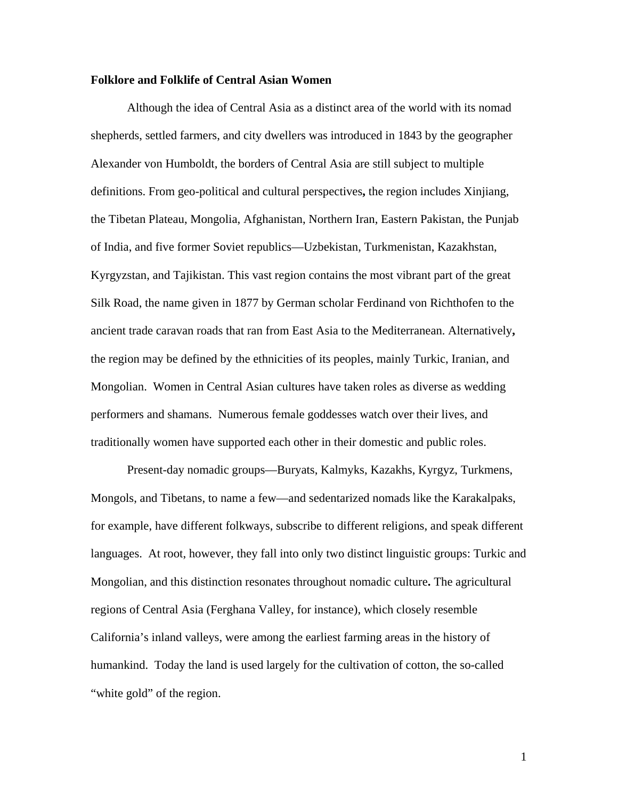## **Folklore and Folklife of Central Asian Women**

Although the idea of Central Asia as a distinct area of the world with its nomad shepherds, settled farmers, and city dwellers was introduced in 1843 by the geographer Alexander von Humboldt, the borders of Central Asia are still subject to multiple definitions. From geo-political and cultural perspectives**,** the region includes Xinjiang, the Tibetan Plateau, Mongolia, Afghanistan, Northern Iran, Eastern Pakistan, the Punjab of India, and five former Soviet republics—Uzbekistan, Turkmenistan, Kazakhstan, Kyrgyzstan, and Tajikistan. This vast region contains the most vibrant part of the great Silk Road, the name given in 1877 by German scholar Ferdinand von Richthofen to the ancient trade caravan roads that ran from East Asia to the Mediterranean. Alternatively**,** the region may be defined by the ethnicities of its peoples, mainly Turkic, Iranian, and Mongolian. Women in Central Asian cultures have taken roles as diverse as wedding performers and shamans. Numerous female goddesses watch over their lives, and traditionally women have supported each other in their domestic and public roles.

Present-day nomadic groups—Buryats, Kalmyks, Kazakhs, Kyrgyz, Turkmens, Mongols, and Tibetans, to name a few—and sedentarized nomads like the Karakalpaks, for example, have different folkways, subscribe to different religions, and speak different languages.At root, however, they fall into only two distinct linguistic groups: Turkic and Mongolian, and this distinction resonates throughout nomadic culture**.** The agricultural regions of Central Asia (Ferghana Valley, for instance), which closely resemble California's inland valleys, were among the earliest farming areas in the history of humankind. Today the land is used largely for the cultivation of cotton, the so-called "white gold" of the region.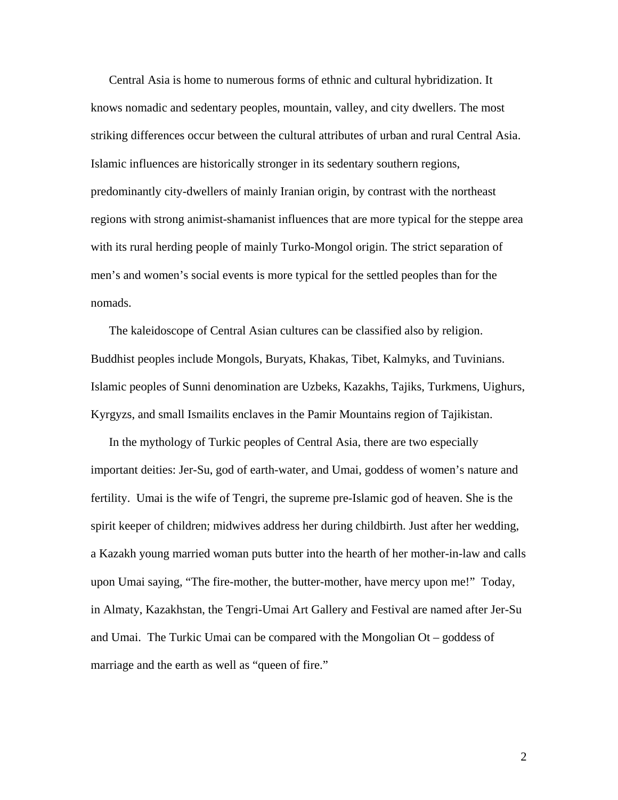Central Asia is home to numerous forms of ethnic and cultural hybridization. It knows nomadic and sedentary peoples, mountain, valley, and city dwellers. The most striking differences occur between the cultural attributes of urban and rural Central Asia. Islamic influences are historically stronger in its sedentary southern regions, predominantly city-dwellers of mainly Iranian origin, by contrast with the northeast regions with strong animist-shamanist influences that are more typical for the steppe area with its rural herding people of mainly Turko-Mongol origin. The strict separation of men's and women's social events is more typical for the settled peoples than for the nomads.

The kaleidoscope of Central Asian cultures can be classified also by religion. Buddhist peoples include Mongols, Buryats, Khakas, Tibet, Kalmyks, and Tuvinians. Islamic peoples of Sunni denomination are Uzbeks, Kazakhs, Tajiks, Turkmens, Uighurs, Kyrgyzs, and small Ismailits enclaves in the Pamir Mountains region of Tajikistan.

In the mythology of Turkic peoples of Central Asia, there are two especially important deities: Jer-Su, god of earth-water, and Umai, goddess of women's nature and fertility. Umai is the wife of Tengri, the supreme pre-Islamic god of heaven. She is the spirit keeper of children; midwives address her during childbirth. Just after her wedding, a Kazakh young married woman puts butter into the hearth of her mother-in-law and calls upon Umai saying, "The fire-mother, the butter-mother, have mercy upon me!" Today, in Almaty, Kazakhstan, the Tengri-Umai Art Gallery and Festival are named after Jer-Su and Umai. The Turkic Umai can be compared with the Mongolian Ot – goddess of marriage and the earth as well as "queen of fire."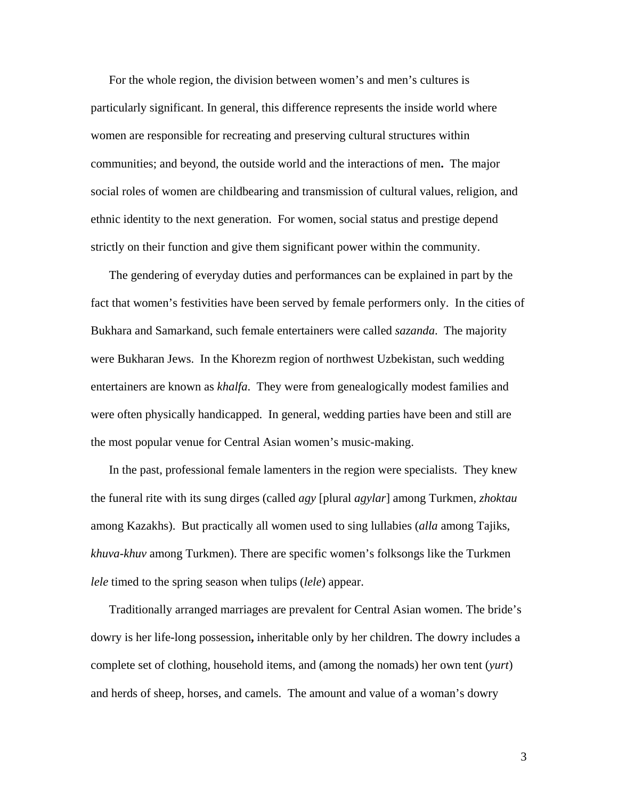For the whole region, the division between women's and men's cultures is particularly significant. In general, this difference represents the inside world where women are responsible for recreating and preserving cultural structures within communities; and beyond, the outside world and the interactions of men**.** The major social roles of women are childbearing and transmission of cultural values, religion, and ethnic identity to the next generation. For women, social status and prestige depend strictly on their function and give them significant power within the community.

The gendering of everyday duties and performances can be explained in part by the fact that women's festivities have been served by female performers only. In the cities of Bukhara and Samarkand, such female entertainers were called *sazanda*. The majority were Bukharan Jews. In the Khorezm region of northwest Uzbekistan, such wedding entertainers are known as *khalfa*. They were from genealogically modest families and were often physically handicapped. In general, wedding parties have been and still are the most popular venue for Central Asian women's music-making.

In the past, professional female lamenters in the region were specialists. They knew the funeral rite with its sung dirges (called *agy* [plural *agylar*] among Turkmen, *zhoktau*  among Kazakhs). But practically all women used to sing lullabies (*alla* among Tajiks, *khuva-khuv* among Turkmen). There are specific women's folksongs like the Turkmen *lele* timed to the spring season when tulips (*lele*) appear.

Traditionally arranged marriages are prevalent for Central Asian women. The bride's dowry is her life-long possession**,** inheritable only by her children. The dowry includes a complete set of clothing, household items, and (among the nomads) her own tent (*yurt*) and herds of sheep, horses, and camels. The amount and value of a woman's dowry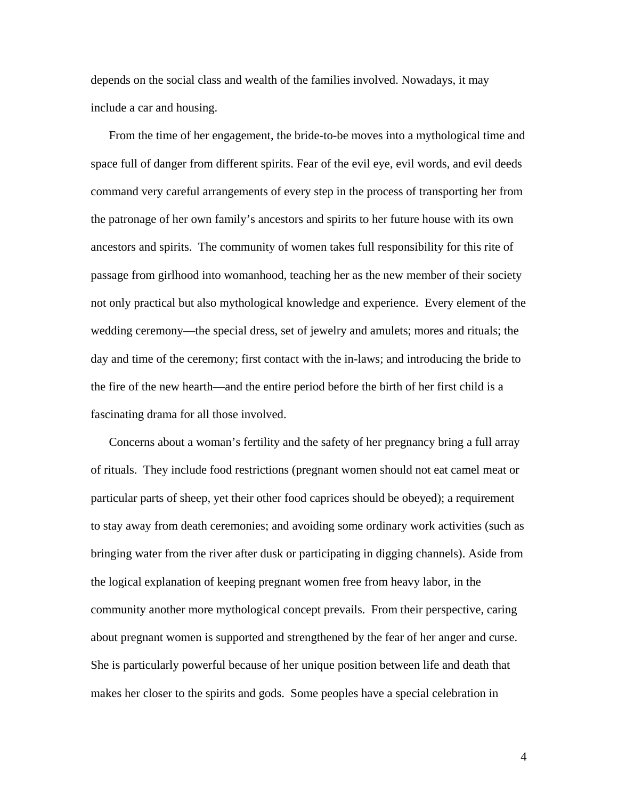depends on the social class and wealth of the families involved. Nowadays, it may include a car and housing.

From the time of her engagement, the bride-to-be moves into a mythological time and space full of danger from different spirits. Fear of the evil eye, evil words, and evil deeds command very careful arrangements of every step in the process of transporting her from the patronage of her own family's ancestors and spirits to her future house with its own ancestors and spirits. The community of women takes full responsibility for this rite of passage from girlhood into womanhood, teaching her as the new member of their society not only practical but also mythological knowledge and experience. Every element of the wedding ceremony—the special dress, set of jewelry and amulets; mores and rituals; the day and time of the ceremony; first contact with the in-laws; and introducing the bride to the fire of the new hearth—and the entire period before the birth of her first child is a fascinating drama for all those involved.

Concerns about a woman's fertility and the safety of her pregnancy bring a full array of rituals. They include food restrictions (pregnant women should not eat camel meat or particular parts of sheep, yet their other food caprices should be obeyed); a requirement to stay away from death ceremonies; and avoiding some ordinary work activities (such as bringing water from the river after dusk or participating in digging channels). Aside from the logical explanation of keeping pregnant women free from heavy labor, in the community another more mythological concept prevails. From their perspective, caring about pregnant women is supported and strengthened by the fear of her anger and curse. She is particularly powerful because of her unique position between life and death that makes her closer to the spirits and gods. Some peoples have a special celebration in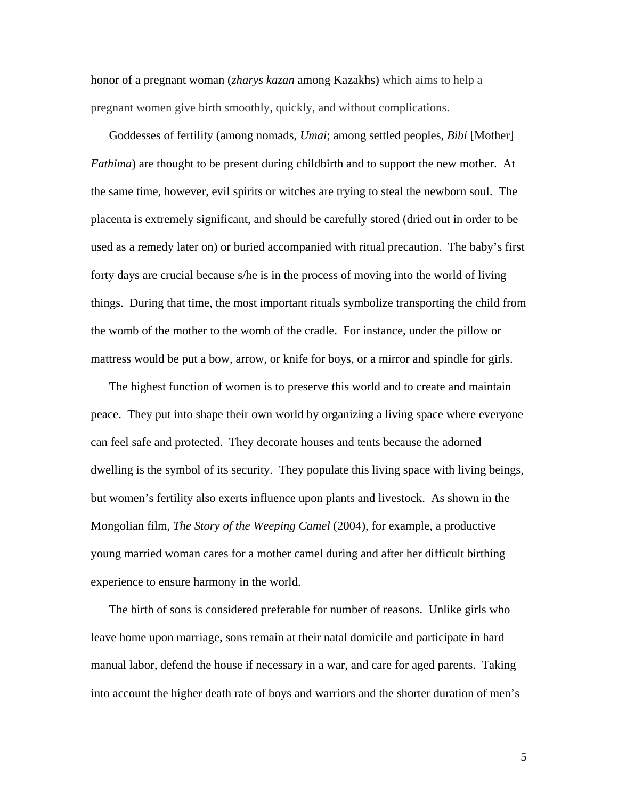honor of a pregnant woman (*zharys kazan* among Kazakhs) which aims to help a pregnant women give birth smoothly, quickly, and without complications.

Goddesses of fertility (among nomads, *Umai*; among settled peoples, *Bibi* [Mother] *Fathima*) are thought to be present during childbirth and to support the new mother. At the same time, however, evil spirits or witches are trying to steal the newborn soul. The placenta is extremely significant, and should be carefully stored (dried out in order to be used as a remedy later on) or buried accompanied with ritual precaution. The baby's first forty days are crucial because s/he is in the process of moving into the world of living things. During that time, the most important rituals symbolize transporting the child from the womb of the mother to the womb of the cradle. For instance, under the pillow or mattress would be put a bow, arrow, or knife for boys, or a mirror and spindle for girls.

The highest function of women is to preserve this world and to create and maintain peace. They put into shape their own world by organizing a living space where everyone can feel safe and protected. They decorate houses and tents because the adorned dwelling is the symbol of its security. They populate this living space with living beings, but women's fertility also exerts influence upon plants and livestock. As shown in the Mongolian film, *The Story of the Weeping Camel* (2004), for example, a productive young married woman cares for a mother camel during and after her difficult birthing experience to ensure harmony in the world.

The birth of sons is considered preferable for number of reasons. Unlike girls who leave home upon marriage, sons remain at their natal domicile and participate in hard manual labor, defend the house if necessary in a war, and care for aged parents. Taking into account the higher death rate of boys and warriors and the shorter duration of men's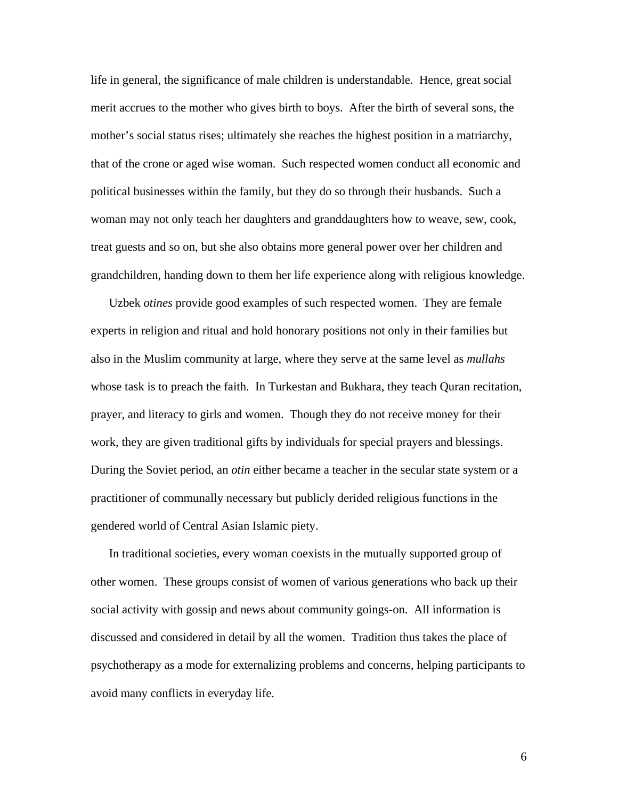life in general, the significance of male children is understandable. Hence, great social merit accrues to the mother who gives birth to boys. After the birth of several sons, the mother's social status rises; ultimately she reaches the highest position in a matriarchy, that of the crone or aged wise woman. Such respected women conduct all economic and political businesses within the family, but they do so through their husbands. Such a woman may not only teach her daughters and granddaughters how to weave, sew, cook, treat guests and so on, but she also obtains more general power over her children and grandchildren, handing down to them her life experience along with religious knowledge.

Uzbek *otines* provide good examples of such respected women. They are female experts in religion and ritual and hold honorary positions not only in their families but also in the Muslim community at large, where they serve at the same level as *mullahs* whose task is to preach the faith. In Turkestan and Bukhara, they teach Quran recitation, prayer, and literacy to girls and women. Though they do not receive money for their work, they are given traditional gifts by individuals for special prayers and blessings. During the Soviet period, an *otin* either became a teacher in the secular state system or a practitioner of communally necessary but publicly derided religious functions in the gendered world of Central Asian Islamic piety.

In traditional societies, every woman coexists in the mutually supported group of other women. These groups consist of women of various generations who back up their social activity with gossip and news about community goings-on. All information is discussed and considered in detail by all the women. Tradition thus takes the place of psychotherapy as a mode for externalizing problems and concerns, helping participants to avoid many conflicts in everyday life.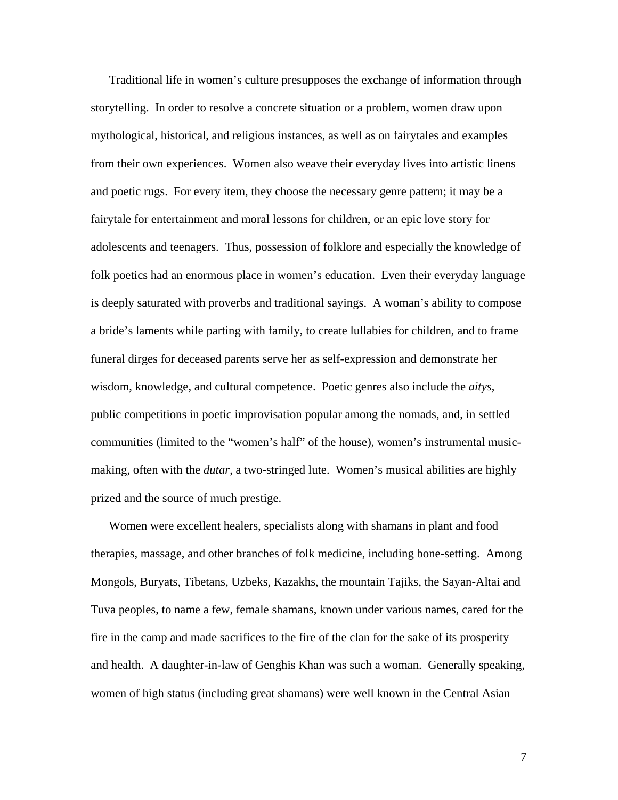Traditional life in women's culture presupposes the exchange of information through storytelling. In order to resolve a concrete situation or a problem, women draw upon mythological, historical, and religious instances, as well as on fairytales and examples from their own experiences. Women also weave their everyday lives into artistic linens and poetic rugs. For every item, they choose the necessary genre pattern; it may be a fairytale for entertainment and moral lessons for children, or an epic love story for adolescents and teenagers. Thus, possession of folklore and especially the knowledge of folk poetics had an enormous place in women's education. Even their everyday language is deeply saturated with proverbs and traditional sayings. A woman's ability to compose a bride's laments while parting with family, to create lullabies for children, and to frame funeral dirges for deceased parents serve her as self-expression and demonstrate her wisdom, knowledge, and cultural competence. Poetic genres also include the *aitys*, public competitions in poetic improvisation popular among the nomads, and, in settled communities (limited to the "women's half" of the house), women's instrumental musicmaking, often with the *dutar*, a two-stringed lute. Women's musical abilities are highly prized and the source of much prestige.

Women were excellent healers, specialists along with shamans in plant and food therapies, massage, and other branches of folk medicine, including bone-setting. Among Mongols, Buryats, Tibetans, Uzbeks, Kazakhs, the mountain Tajiks, the Sayan-Altai and Tuva peoples, to name a few, female shamans, known under various names, cared for the fire in the camp and made sacrifices to the fire of the clan for the sake of its prosperity and health. A daughter-in-law of Genghis Khan was such a woman. Generally speaking, women of high status (including great shamans) were well known in the Central Asian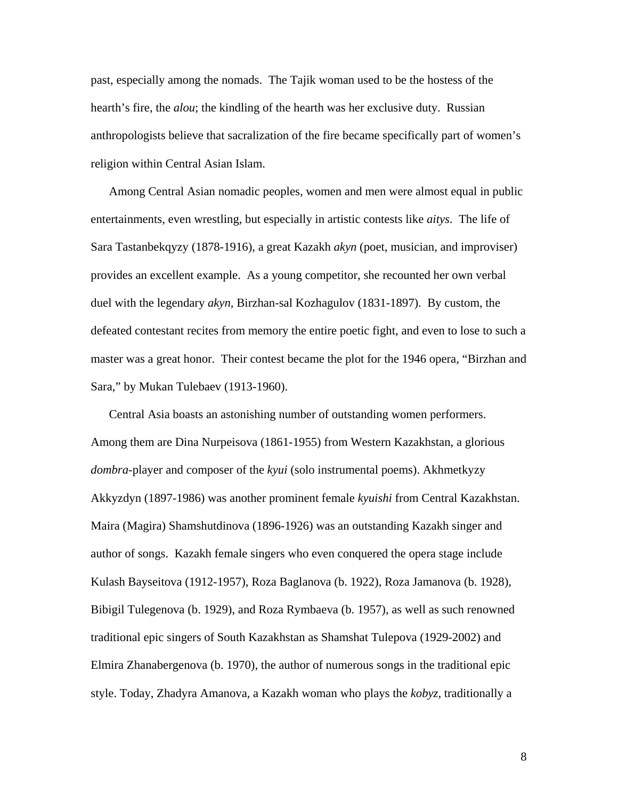past, especially among the nomads. The Tajik woman used to be the hostess of the hearth's fire, the *alou*; the kindling of the hearth was her exclusive duty. Russian anthropologists believe that sacralization of the fire became specifically part of women's religion within Central Asian Islam.

Among Central Asian nomadic peoples, women and men were almost equal in public entertainments, even wrestling, but especially in artistic contests like *aitys*. The life of Sara Tastanbekqyzy (1878-1916), a great Kazakh *akyn* (poet, musician, and improviser) provides an excellent example. As a young competitor, she recounted her own verbal duel with the legendary *akyn*, Birzhan-sal Kozhagulov (1831-1897). By custom, the defeated contestant recites from memory the entire poetic fight, and even to lose to such a master was a great honor. Their contest became the plot for the 1946 opera, "Birzhan and Sara," by Mukan Tulebaev (1913-1960).

Central Asia boasts an astonishing number of outstanding women performers. Among them are Dina Nurpeisova (1861-1955) from Western Kazakhstan, a glorious *dombra*-player and composer of the *kyui* (solo instrumental poems). Akhmetkyzy Akkyzdyn (1897-1986) was another prominent female *kyuishi* from Central Kazakhstan. Maira (Magira) Shamshutdinova (1896-1926) was an outstanding Kazakh singer and author of songs. Kazakh female singers who even conquered the opera stage include Kulash Bayseitova (1912-1957), Roza Baglanova (b. 1922), Roza Jamanova (b. 1928), Bibigil Tulegenova (b. 1929), and Roza Rymbaeva (b. 1957), as well as such renowned traditional epic singers of South Kazakhstan as Shamshat Tulepova (1929-2002) and Elmira Zhanabergenova (b. 1970), the author of numerous songs in the traditional epic style. Today, Zhadyra Amanova, a Kazakh woman who plays the *kobyz*, traditionally a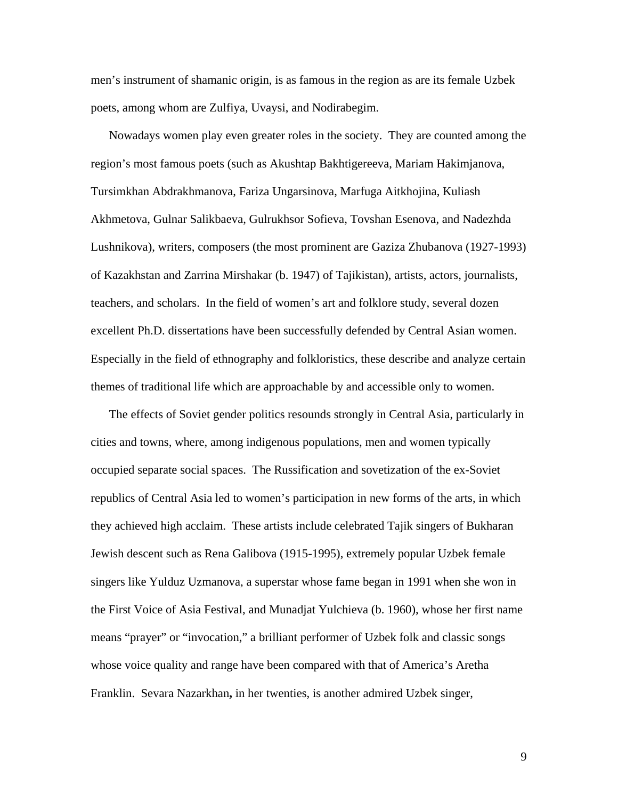men's instrument of shamanic origin, is as famous in the region as are its female Uzbek poets, among whom are Zulfiya, Uvaysi, and Nodirabegim.

Nowadays women play even greater roles in the society. They are counted among the region's most famous poets (such as Akushtap Bakhtigereeva, Mariam Hakimjanova, Tursimkhan Abdrakhmanova, Fariza Ungarsinova, Marfuga Aitkhojina, Kuliash Akhmetova, Gulnar Salikbaeva, Gulrukhsor Sofieva, Tovshan Esenova, and Nadezhda Lushnikova), writers, composers (the most prominent are Gaziza Zhubanova (1927-1993) of Kazakhstan and Zarrina Mirshakar (b. 1947) of Tajikistan), artists, actors, journalists, teachers, and scholars. In the field of women's art and folklore study, several dozen excellent Ph.D. dissertations have been successfully defended by Central Asian women. Especially in the field of ethnography and folkloristics, these describe and analyze certain themes of traditional life which are approachable by and accessible only to women.

The effects of Soviet gender politics resounds strongly in Central Asia, particularly in cities and towns, where, among indigenous populations, men and women typically occupied separate social spaces. The Russification and sovetization of the ex-Soviet republics of Central Asia led to women's participation in new forms of the arts, in which they achieved high acclaim. These artists include celebrated Tajik singers of Bukharan Jewish descent such as Rena Galibova (1915-1995), extremely popular Uzbek female singers like Yulduz Uzmanova, a superstar whose fame began in 1991 when she won in the First Voice of Asia Festival, and Munadjat Yulchieva (b. 1960), whose her first name means "prayer" or "invocation," a brilliant performer of Uzbek folk and classic songs whose voice quality and range have been compared with that of America's Aretha Franklin. Sevara Nazarkhan**,** in her twenties, is another admired Uzbek singer,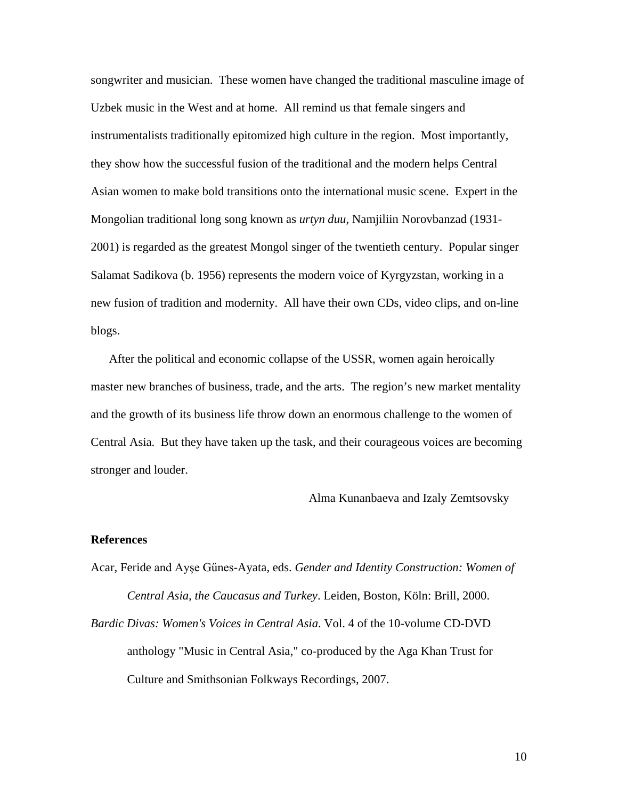songwriter and musician. These women have changed the traditional masculine image of Uzbek music in the West and at home. All remind us that female singers and instrumentalists traditionally epitomized high culture in the region. Most importantly, they show how the successful fusion of the traditional and the modern helps Central Asian women to make bold transitions onto the international music scene. Expert in the Mongolian traditional long song known as *urtyn duu*, Namjiliin Norovbanzad (1931- 2001) is regarded as the greatest Mongol singer of the twentieth century. Popular singer Salamat Sadikova (b. 1956) represents the modern voice of Kyrgyzstan, working in a new fusion of tradition and modernity. All have their own CDs, video clips, and on-line blogs.

After the political and economic collapse of the USSR, women again heroically master new branches of business, trade, and the arts. The region's new market mentality and the growth of its business life throw down an enormous challenge to the women of Central Asia. But they have taken up the task, and their courageous voices are becoming stronger and louder.

Alma Kunanbaeva and Izaly Zemtsovsky

## **References**

Acar, Feride and Ayşe Gűnes-Ayata, eds. *Gender and Identity Construction: Women of Central Asia, the Caucasus and Turkey*. Leiden, Boston, Köln: Brill, 2000.

*Bardic Divas: Women's Voices in Central Asia*. Vol. 4 of the 10-volume CD-DVD anthology "Music in Central Asia," co-produced by the Aga Khan Trust for Culture and Smithsonian Folkways Recordings, 2007.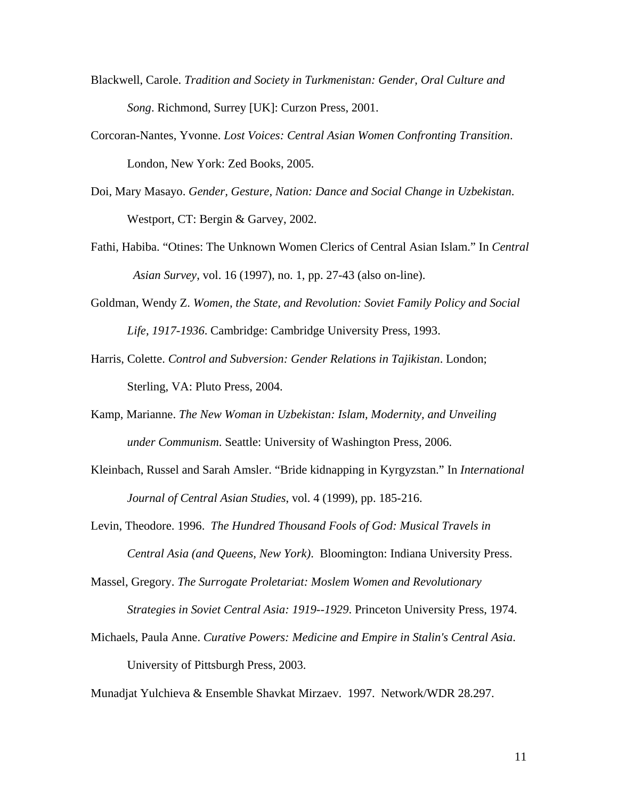- Blackwell, Carole. *Tradition and Society in Turkmenistan: Gender, Oral Culture and Song*. Richmond, Surrey [UK]: Curzon Press, 2001.
- Corcoran-Nantes, Yvonne. *Lost Voices: Central Asian Women Confronting Transition*. London, New York: Zed Books, 2005.
- Doi, Mary Masayo. *Gender, Gesture, Nation: Dance and Social Change in Uzbekistan*. Westport, CT: Bergin & Garvey, 2002.
- Fathi, Habiba. "Otines: The Unknown Women Clerics of Central Asian Islam." In *Central Asian Survey*, vol. 16 (1997), no. 1, pp. 27-43 (also on-line).
- Goldman, Wendy Z. *Women, the State, and Revolution: Soviet Family Policy and Social Life, 1917-1936*. Cambridge: Cambridge University Press, 1993.
- Harris, Colette. *Control and Subversion: Gender Relations in Tajikistan*. London; Sterling, VA: Pluto Press, 2004.
- Kamp, Marianne. *The New Woman in Uzbekistan: Islam, Modernity, and Unveiling under Communism*. Seattle: University of Washington Press, 2006.
- Kleinbach, Russel and Sarah Amsler. "Bride kidnapping in Kyrgyzstan." In *International Journal of Central Asian Studies*, vol. 4 (1999), pp. 185-216.
- Levin, Theodore. 1996. *The Hundred Thousand Fools of God: Musical Travels in Central Asia (and Queens, New York)*. Bloomington: Indiana University Press.
- Massel, Gregory. *The Surrogate Proletariat: Moslem Women and Revolutionary Strategies in Soviet Central Asia: 1919--1929*. Princeton University Press, 1974.
- Michaels, Paula Anne. *Curative Powers: Medicine and Empire in Stalin's Central Asia*. University of Pittsburgh Press, 2003.

Munadjat Yulchieva & Ensemble Shavkat Mirzaev. 1997. Network/WDR 28.297.